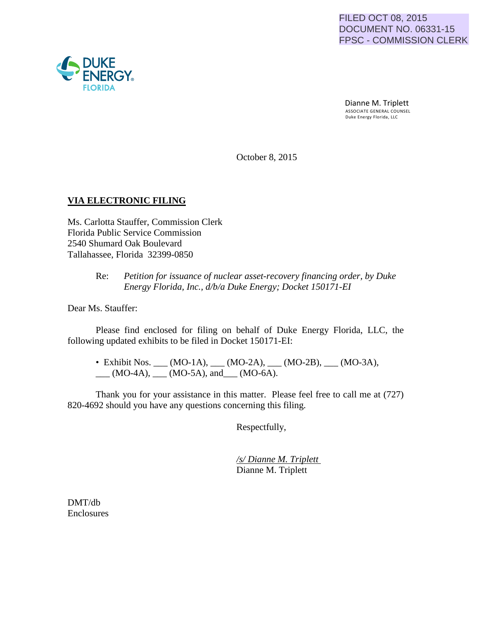## FILED OCT 08, 2015 DOCUMENT NO. 06331-15 FPSC - COMMISSION CLERK

Dianne M. Triplett<br>ASSOCIATE GENERAL COUNSEL Duke Energy Florida, LLC

October 8, 2015

## **VIA ELECTRONIC FILING**

Ms. Carlotta Stauffer, Commission Clerk Florida Public Service Commission 2540 Shumard Oak Boulevard Tallahassee, Florida 32399-0850

## Re: *Petition for issuance of nuclear asset-recovery financing order, by Duke Energy Florida, Inc., d/b/a Duke Energy; Docket 150171-EI*

Dear Ms. Stauffer:

Please find enclosed for filing on behalf of Duke Energy Florida, LLC, the following updated exhibits to be filed in Docket 150171-EI:

• Exhibit Nos. \_\_\_ (MO-1A), \_\_\_ (MO-2A), \_\_\_ (MO-2B), \_\_\_ (MO-3A),  $\underline{\hspace{1cm}}$  (MO-4A),  $\underline{\hspace{1cm}}$  (MO-5A), and  $\underline{\hspace{1cm}}$  (MO-6A).

Thank you for your assistance in this matter. Please feel free to call me at (727) 820-4692 should you have any questions concerning this filing.

Respectfully,

*/s/ Dianne M. Triplett*  Dianne M. Triplett

DMT/db Enclosures

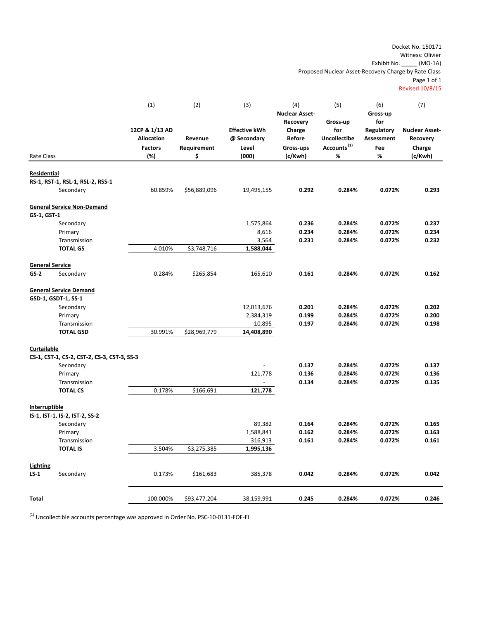Docket No. 150171 Witness: Olivier Exhibit No. \_\_\_\_\_ (MO‐1A)

Proposed Nuclear Asset‐Recovery Charge by Rate Class

Page 1 of 1

Revised 10/8/15

| <b>Nuclear Asset-</b><br>Gross-up<br>Recovery<br>Gross-up<br>for<br>12CP & 1/13 AD<br><b>Effective kWh</b><br>for<br>Regulatory<br><b>Nuclear Asset-</b><br>Charge<br><b>Uncollectibe</b><br><b>Allocation</b><br>Revenue<br><b>Before</b><br>@ Secondary<br>Assessment<br>Recovery<br>Accounts <sup>(1)</sup><br>Requirement<br>Level<br>Gross-ups<br>Fee<br><b>Factors</b><br>Charge<br>$\%$<br>%<br>(%)<br>\$<br>(000)<br>(c/Kwh)<br>(c/Kwh)<br>Rate Class<br>Residential<br>RS-1, RST-1, RSL-1, RSL-2, RSS-1<br>Secondary<br>60.859%<br>\$56,889,096<br>0.292<br>0.284%<br>0.072%<br>0.293<br>19,495,155<br><b>General Service Non-Demand</b><br>GS-1, GST-1<br>Secondary<br>1,575,864<br>0.236<br>0.284%<br>0.237<br>0.072%<br>0.234<br>0.234<br>8,616<br>0.284%<br>0.072%<br>Primary<br>Transmission<br>0.231<br>0.284%<br>0.072%<br>0.232<br>3,564<br><b>TOTAL GS</b><br>4.010%<br>\$3,748,716<br>1,588,044<br><b>General Service</b><br>$GS-2$<br>0.284%<br>0.161<br>0.284%<br>0.072%<br>0.162<br>Secondary<br>\$265,854<br>165,610<br><b>General Service Demand</b><br>GSD-1, GSDT-1, SS-1<br>12,013,676<br>0.201<br>0.284%<br>0.072%<br>0.202<br>Secondary<br>0.199<br>0.200<br>Primary<br>2,384,319<br>0.284%<br>0.072%<br>0.197<br>Transmission<br>10,895<br>0.284%<br>0.072%<br>0.198<br>30.991%<br>\$28,969,779<br><b>TOTAL GSD</b><br>14,408,890<br>Curtailable<br>CS-1, CST-1, CS-2, CST-2, CS-3, CST-3, SS-3<br>0.137<br>Secondary<br>0.137<br>0.284%<br>0.072%<br>121,778<br>0.136<br>0.284%<br>0.072%<br>0.136<br>Primary<br>0.134<br>0.284%<br>0.072%<br>0.135<br>Transmission<br>0.178%<br><b>TOTAL CS</b><br>\$166,691<br>121,778<br>Interruptible<br>IS-1, IST-1, IS-2, IST-2, SS-2<br>89,382<br>0.164<br>0.284%<br>0.072%<br>0.165<br>Secondary<br>1,588,841<br>0.162<br>0.284%<br>0.072%<br>0.163<br>Primary<br>Transmission<br>316,913<br>0.161<br>0.284%<br>0.072%<br>0.161<br><b>TOTAL IS</b><br>3.504%<br>\$3,275,385<br>1,995,136<br>Lighting<br>0.042<br>$LS-1$<br>Secondary<br>0.173%<br>0.042<br>0.284%<br>0.072%<br>\$161,683<br>385,378<br>0.245<br>0.246<br><b>Total</b><br>100.000%<br>\$93,477,204<br>38,159,991<br>0.284%<br>0.072% |  | (1) | (2) | (3) | (4) | (5) | (6) | (7) |
|----------------------------------------------------------------------------------------------------------------------------------------------------------------------------------------------------------------------------------------------------------------------------------------------------------------------------------------------------------------------------------------------------------------------------------------------------------------------------------------------------------------------------------------------------------------------------------------------------------------------------------------------------------------------------------------------------------------------------------------------------------------------------------------------------------------------------------------------------------------------------------------------------------------------------------------------------------------------------------------------------------------------------------------------------------------------------------------------------------------------------------------------------------------------------------------------------------------------------------------------------------------------------------------------------------------------------------------------------------------------------------------------------------------------------------------------------------------------------------------------------------------------------------------------------------------------------------------------------------------------------------------------------------------------------------------------------------------------------------------------------------------------------------------------------------------------------------------------------------------------------------------------------------------------------------------------------------------------------------------------------------------------------------------------------------------------------------------------------------------------------------------------------------------------------|--|-----|-----|-----|-----|-----|-----|-----|
|                                                                                                                                                                                                                                                                                                                                                                                                                                                                                                                                                                                                                                                                                                                                                                                                                                                                                                                                                                                                                                                                                                                                                                                                                                                                                                                                                                                                                                                                                                                                                                                                                                                                                                                                                                                                                                                                                                                                                                                                                                                                                                                                                                            |  |     |     |     |     |     |     |     |
|                                                                                                                                                                                                                                                                                                                                                                                                                                                                                                                                                                                                                                                                                                                                                                                                                                                                                                                                                                                                                                                                                                                                                                                                                                                                                                                                                                                                                                                                                                                                                                                                                                                                                                                                                                                                                                                                                                                                                                                                                                                                                                                                                                            |  |     |     |     |     |     |     |     |
|                                                                                                                                                                                                                                                                                                                                                                                                                                                                                                                                                                                                                                                                                                                                                                                                                                                                                                                                                                                                                                                                                                                                                                                                                                                                                                                                                                                                                                                                                                                                                                                                                                                                                                                                                                                                                                                                                                                                                                                                                                                                                                                                                                            |  |     |     |     |     |     |     |     |
|                                                                                                                                                                                                                                                                                                                                                                                                                                                                                                                                                                                                                                                                                                                                                                                                                                                                                                                                                                                                                                                                                                                                                                                                                                                                                                                                                                                                                                                                                                                                                                                                                                                                                                                                                                                                                                                                                                                                                                                                                                                                                                                                                                            |  |     |     |     |     |     |     |     |
|                                                                                                                                                                                                                                                                                                                                                                                                                                                                                                                                                                                                                                                                                                                                                                                                                                                                                                                                                                                                                                                                                                                                                                                                                                                                                                                                                                                                                                                                                                                                                                                                                                                                                                                                                                                                                                                                                                                                                                                                                                                                                                                                                                            |  |     |     |     |     |     |     |     |
|                                                                                                                                                                                                                                                                                                                                                                                                                                                                                                                                                                                                                                                                                                                                                                                                                                                                                                                                                                                                                                                                                                                                                                                                                                                                                                                                                                                                                                                                                                                                                                                                                                                                                                                                                                                                                                                                                                                                                                                                                                                                                                                                                                            |  |     |     |     |     |     |     |     |
|                                                                                                                                                                                                                                                                                                                                                                                                                                                                                                                                                                                                                                                                                                                                                                                                                                                                                                                                                                                                                                                                                                                                                                                                                                                                                                                                                                                                                                                                                                                                                                                                                                                                                                                                                                                                                                                                                                                                                                                                                                                                                                                                                                            |  |     |     |     |     |     |     |     |
|                                                                                                                                                                                                                                                                                                                                                                                                                                                                                                                                                                                                                                                                                                                                                                                                                                                                                                                                                                                                                                                                                                                                                                                                                                                                                                                                                                                                                                                                                                                                                                                                                                                                                                                                                                                                                                                                                                                                                                                                                                                                                                                                                                            |  |     |     |     |     |     |     |     |
|                                                                                                                                                                                                                                                                                                                                                                                                                                                                                                                                                                                                                                                                                                                                                                                                                                                                                                                                                                                                                                                                                                                                                                                                                                                                                                                                                                                                                                                                                                                                                                                                                                                                                                                                                                                                                                                                                                                                                                                                                                                                                                                                                                            |  |     |     |     |     |     |     |     |
|                                                                                                                                                                                                                                                                                                                                                                                                                                                                                                                                                                                                                                                                                                                                                                                                                                                                                                                                                                                                                                                                                                                                                                                                                                                                                                                                                                                                                                                                                                                                                                                                                                                                                                                                                                                                                                                                                                                                                                                                                                                                                                                                                                            |  |     |     |     |     |     |     |     |
|                                                                                                                                                                                                                                                                                                                                                                                                                                                                                                                                                                                                                                                                                                                                                                                                                                                                                                                                                                                                                                                                                                                                                                                                                                                                                                                                                                                                                                                                                                                                                                                                                                                                                                                                                                                                                                                                                                                                                                                                                                                                                                                                                                            |  |     |     |     |     |     |     |     |
|                                                                                                                                                                                                                                                                                                                                                                                                                                                                                                                                                                                                                                                                                                                                                                                                                                                                                                                                                                                                                                                                                                                                                                                                                                                                                                                                                                                                                                                                                                                                                                                                                                                                                                                                                                                                                                                                                                                                                                                                                                                                                                                                                                            |  |     |     |     |     |     |     |     |
|                                                                                                                                                                                                                                                                                                                                                                                                                                                                                                                                                                                                                                                                                                                                                                                                                                                                                                                                                                                                                                                                                                                                                                                                                                                                                                                                                                                                                                                                                                                                                                                                                                                                                                                                                                                                                                                                                                                                                                                                                                                                                                                                                                            |  |     |     |     |     |     |     |     |
|                                                                                                                                                                                                                                                                                                                                                                                                                                                                                                                                                                                                                                                                                                                                                                                                                                                                                                                                                                                                                                                                                                                                                                                                                                                                                                                                                                                                                                                                                                                                                                                                                                                                                                                                                                                                                                                                                                                                                                                                                                                                                                                                                                            |  |     |     |     |     |     |     |     |
|                                                                                                                                                                                                                                                                                                                                                                                                                                                                                                                                                                                                                                                                                                                                                                                                                                                                                                                                                                                                                                                                                                                                                                                                                                                                                                                                                                                                                                                                                                                                                                                                                                                                                                                                                                                                                                                                                                                                                                                                                                                                                                                                                                            |  |     |     |     |     |     |     |     |
|                                                                                                                                                                                                                                                                                                                                                                                                                                                                                                                                                                                                                                                                                                                                                                                                                                                                                                                                                                                                                                                                                                                                                                                                                                                                                                                                                                                                                                                                                                                                                                                                                                                                                                                                                                                                                                                                                                                                                                                                                                                                                                                                                                            |  |     |     |     |     |     |     |     |
|                                                                                                                                                                                                                                                                                                                                                                                                                                                                                                                                                                                                                                                                                                                                                                                                                                                                                                                                                                                                                                                                                                                                                                                                                                                                                                                                                                                                                                                                                                                                                                                                                                                                                                                                                                                                                                                                                                                                                                                                                                                                                                                                                                            |  |     |     |     |     |     |     |     |
|                                                                                                                                                                                                                                                                                                                                                                                                                                                                                                                                                                                                                                                                                                                                                                                                                                                                                                                                                                                                                                                                                                                                                                                                                                                                                                                                                                                                                                                                                                                                                                                                                                                                                                                                                                                                                                                                                                                                                                                                                                                                                                                                                                            |  |     |     |     |     |     |     |     |
|                                                                                                                                                                                                                                                                                                                                                                                                                                                                                                                                                                                                                                                                                                                                                                                                                                                                                                                                                                                                                                                                                                                                                                                                                                                                                                                                                                                                                                                                                                                                                                                                                                                                                                                                                                                                                                                                                                                                                                                                                                                                                                                                                                            |  |     |     |     |     |     |     |     |
|                                                                                                                                                                                                                                                                                                                                                                                                                                                                                                                                                                                                                                                                                                                                                                                                                                                                                                                                                                                                                                                                                                                                                                                                                                                                                                                                                                                                                                                                                                                                                                                                                                                                                                                                                                                                                                                                                                                                                                                                                                                                                                                                                                            |  |     |     |     |     |     |     |     |
|                                                                                                                                                                                                                                                                                                                                                                                                                                                                                                                                                                                                                                                                                                                                                                                                                                                                                                                                                                                                                                                                                                                                                                                                                                                                                                                                                                                                                                                                                                                                                                                                                                                                                                                                                                                                                                                                                                                                                                                                                                                                                                                                                                            |  |     |     |     |     |     |     |     |
|                                                                                                                                                                                                                                                                                                                                                                                                                                                                                                                                                                                                                                                                                                                                                                                                                                                                                                                                                                                                                                                                                                                                                                                                                                                                                                                                                                                                                                                                                                                                                                                                                                                                                                                                                                                                                                                                                                                                                                                                                                                                                                                                                                            |  |     |     |     |     |     |     |     |
|                                                                                                                                                                                                                                                                                                                                                                                                                                                                                                                                                                                                                                                                                                                                                                                                                                                                                                                                                                                                                                                                                                                                                                                                                                                                                                                                                                                                                                                                                                                                                                                                                                                                                                                                                                                                                                                                                                                                                                                                                                                                                                                                                                            |  |     |     |     |     |     |     |     |
|                                                                                                                                                                                                                                                                                                                                                                                                                                                                                                                                                                                                                                                                                                                                                                                                                                                                                                                                                                                                                                                                                                                                                                                                                                                                                                                                                                                                                                                                                                                                                                                                                                                                                                                                                                                                                                                                                                                                                                                                                                                                                                                                                                            |  |     |     |     |     |     |     |     |
|                                                                                                                                                                                                                                                                                                                                                                                                                                                                                                                                                                                                                                                                                                                                                                                                                                                                                                                                                                                                                                                                                                                                                                                                                                                                                                                                                                                                                                                                                                                                                                                                                                                                                                                                                                                                                                                                                                                                                                                                                                                                                                                                                                            |  |     |     |     |     |     |     |     |
|                                                                                                                                                                                                                                                                                                                                                                                                                                                                                                                                                                                                                                                                                                                                                                                                                                                                                                                                                                                                                                                                                                                                                                                                                                                                                                                                                                                                                                                                                                                                                                                                                                                                                                                                                                                                                                                                                                                                                                                                                                                                                                                                                                            |  |     |     |     |     |     |     |     |
|                                                                                                                                                                                                                                                                                                                                                                                                                                                                                                                                                                                                                                                                                                                                                                                                                                                                                                                                                                                                                                                                                                                                                                                                                                                                                                                                                                                                                                                                                                                                                                                                                                                                                                                                                                                                                                                                                                                                                                                                                                                                                                                                                                            |  |     |     |     |     |     |     |     |
|                                                                                                                                                                                                                                                                                                                                                                                                                                                                                                                                                                                                                                                                                                                                                                                                                                                                                                                                                                                                                                                                                                                                                                                                                                                                                                                                                                                                                                                                                                                                                                                                                                                                                                                                                                                                                                                                                                                                                                                                                                                                                                                                                                            |  |     |     |     |     |     |     |     |
|                                                                                                                                                                                                                                                                                                                                                                                                                                                                                                                                                                                                                                                                                                                                                                                                                                                                                                                                                                                                                                                                                                                                                                                                                                                                                                                                                                                                                                                                                                                                                                                                                                                                                                                                                                                                                                                                                                                                                                                                                                                                                                                                                                            |  |     |     |     |     |     |     |     |
|                                                                                                                                                                                                                                                                                                                                                                                                                                                                                                                                                                                                                                                                                                                                                                                                                                                                                                                                                                                                                                                                                                                                                                                                                                                                                                                                                                                                                                                                                                                                                                                                                                                                                                                                                                                                                                                                                                                                                                                                                                                                                                                                                                            |  |     |     |     |     |     |     |     |
|                                                                                                                                                                                                                                                                                                                                                                                                                                                                                                                                                                                                                                                                                                                                                                                                                                                                                                                                                                                                                                                                                                                                                                                                                                                                                                                                                                                                                                                                                                                                                                                                                                                                                                                                                                                                                                                                                                                                                                                                                                                                                                                                                                            |  |     |     |     |     |     |     |     |
|                                                                                                                                                                                                                                                                                                                                                                                                                                                                                                                                                                                                                                                                                                                                                                                                                                                                                                                                                                                                                                                                                                                                                                                                                                                                                                                                                                                                                                                                                                                                                                                                                                                                                                                                                                                                                                                                                                                                                                                                                                                                                                                                                                            |  |     |     |     |     |     |     |     |
|                                                                                                                                                                                                                                                                                                                                                                                                                                                                                                                                                                                                                                                                                                                                                                                                                                                                                                                                                                                                                                                                                                                                                                                                                                                                                                                                                                                                                                                                                                                                                                                                                                                                                                                                                                                                                                                                                                                                                                                                                                                                                                                                                                            |  |     |     |     |     |     |     |     |
|                                                                                                                                                                                                                                                                                                                                                                                                                                                                                                                                                                                                                                                                                                                                                                                                                                                                                                                                                                                                                                                                                                                                                                                                                                                                                                                                                                                                                                                                                                                                                                                                                                                                                                                                                                                                                                                                                                                                                                                                                                                                                                                                                                            |  |     |     |     |     |     |     |     |
|                                                                                                                                                                                                                                                                                                                                                                                                                                                                                                                                                                                                                                                                                                                                                                                                                                                                                                                                                                                                                                                                                                                                                                                                                                                                                                                                                                                                                                                                                                                                                                                                                                                                                                                                                                                                                                                                                                                                                                                                                                                                                                                                                                            |  |     |     |     |     |     |     |     |
|                                                                                                                                                                                                                                                                                                                                                                                                                                                                                                                                                                                                                                                                                                                                                                                                                                                                                                                                                                                                                                                                                                                                                                                                                                                                                                                                                                                                                                                                                                                                                                                                                                                                                                                                                                                                                                                                                                                                                                                                                                                                                                                                                                            |  |     |     |     |     |     |     |     |
|                                                                                                                                                                                                                                                                                                                                                                                                                                                                                                                                                                                                                                                                                                                                                                                                                                                                                                                                                                                                                                                                                                                                                                                                                                                                                                                                                                                                                                                                                                                                                                                                                                                                                                                                                                                                                                                                                                                                                                                                                                                                                                                                                                            |  |     |     |     |     |     |     |     |
|                                                                                                                                                                                                                                                                                                                                                                                                                                                                                                                                                                                                                                                                                                                                                                                                                                                                                                                                                                                                                                                                                                                                                                                                                                                                                                                                                                                                                                                                                                                                                                                                                                                                                                                                                                                                                                                                                                                                                                                                                                                                                                                                                                            |  |     |     |     |     |     |     |     |
|                                                                                                                                                                                                                                                                                                                                                                                                                                                                                                                                                                                                                                                                                                                                                                                                                                                                                                                                                                                                                                                                                                                                                                                                                                                                                                                                                                                                                                                                                                                                                                                                                                                                                                                                                                                                                                                                                                                                                                                                                                                                                                                                                                            |  |     |     |     |     |     |     |     |
|                                                                                                                                                                                                                                                                                                                                                                                                                                                                                                                                                                                                                                                                                                                                                                                                                                                                                                                                                                                                                                                                                                                                                                                                                                                                                                                                                                                                                                                                                                                                                                                                                                                                                                                                                                                                                                                                                                                                                                                                                                                                                                                                                                            |  |     |     |     |     |     |     |     |
|                                                                                                                                                                                                                                                                                                                                                                                                                                                                                                                                                                                                                                                                                                                                                                                                                                                                                                                                                                                                                                                                                                                                                                                                                                                                                                                                                                                                                                                                                                                                                                                                                                                                                                                                                                                                                                                                                                                                                                                                                                                                                                                                                                            |  |     |     |     |     |     |     |     |
|                                                                                                                                                                                                                                                                                                                                                                                                                                                                                                                                                                                                                                                                                                                                                                                                                                                                                                                                                                                                                                                                                                                                                                                                                                                                                                                                                                                                                                                                                                                                                                                                                                                                                                                                                                                                                                                                                                                                                                                                                                                                                                                                                                            |  |     |     |     |     |     |     |     |

 $^{(1)}$  Uncollectible accounts percentage was approved in Order No. PSC-10-0131-FOF-EI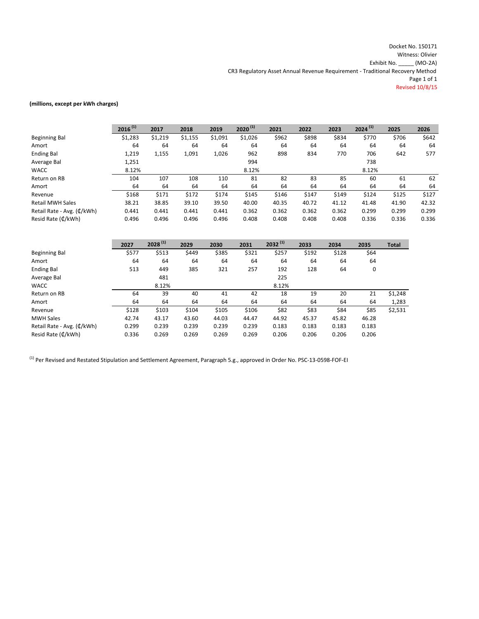Docket No. 150171 Witness: Olivier Exhibit No. \_\_\_\_\_ (MO‐2A) CR3 Regulatory Asset Annual Revenue Requirement ‐ Traditional Recovery Method Page 1 of 1 Revised 10/8/15

#### **(millions, except per kWh charges)**

|                            | $2016^{(1)}$ | 2017    | 2018    | 2019    | $2020^{(1)}$ | 2021  | 2022  | 2023  | $2024^{(1)}$ | 2025  | 2026  |
|----------------------------|--------------|---------|---------|---------|--------------|-------|-------|-------|--------------|-------|-------|
| Beginning Bal              | \$1,283      | \$1,219 | \$1,155 | \$1,091 | \$1,026      | \$962 | \$898 | \$834 | \$770        | \$706 | \$642 |
| Amort                      | 64           | 64      | 64      | 64      | 64           | 64    | 64    | 64    | 64           | 64    | 64    |
| <b>Ending Bal</b>          | 1,219        | 1,155   | 1,091   | 1,026   | 962          | 898   | 834   | 770   | 706          | 642   | 577   |
| Average Bal                | 1,251        |         |         |         | 994          |       |       |       | 738          |       |       |
| <b>WACC</b>                | 8.12%        |         |         |         | 8.12%        |       |       |       | 8.12%        |       |       |
| Return on RB               | 104          | 107     | 108     | 110     | 81           | 82    | 83    | 85    | 60           | 61    | 62    |
| Amort                      | 64           | 64      | 64      | 64      | 64           | 64    | 64    | 64    | 64           | 64    | 64    |
| Revenue                    | \$168        | \$171   | \$172   | \$174   | \$145        | \$146 | \$147 | \$149 | \$124        | \$125 | \$127 |
| <b>Retail MWH Sales</b>    | 38.21        | 38.85   | 39.10   | 39.50   | 40.00        | 40.35 | 40.72 | 41.12 | 41.48        | 41.90 | 42.32 |
| Retail Rate - Avg. (¢/kWh) | 0.441        | 0.441   | 0.441   | 0.441   | 0.362        | 0.362 | 0.362 | 0.362 | 0.299        | 0.299 | 0.299 |
| Resid Rate (¢/kWh)         | 0.496        | 0.496   | 0.496   | 0.496   | 0.408        | 0.408 | 0.408 | 0.408 | 0.336        | 0.336 | 0.336 |

|                             | 2027  | $2028^{(1)}$ | 2029  | 2030  | 2031  | $2032^{(1)}$ | 2033  | 2034  | 2035  | <b>Total</b> |
|-----------------------------|-------|--------------|-------|-------|-------|--------------|-------|-------|-------|--------------|
| Beginning Bal               | \$577 | \$513        | \$449 | \$385 | \$321 | \$257        | \$192 | \$128 | \$64  |              |
| Amort                       | 64    | 64           | 64    | 64    | 64    | 64           | 64    | 64    | 64    |              |
| <b>Ending Bal</b>           | 513   | 449          | 385   | 321   | 257   | 192          | 128   | 64    | 0     |              |
| Average Bal                 |       | 481          |       |       |       | 225          |       |       |       |              |
| <b>WACC</b>                 |       | 8.12%        |       |       |       | 8.12%        |       |       |       |              |
| Return on RB                | 64    | 39           | 40    | 41    | 42    | 18           | 19    | 20    | 21    | \$1,248      |
| Amort                       | 64    | 64           | 64    | 64    | 64    | 64           | 64    | 64    | 64    | 1,283        |
| Revenue                     | \$128 | \$103        | \$104 | \$105 | \$106 | \$82         | \$83  | \$84  | \$85  | \$2,531      |
| <b>MWH Sales</b>            | 42.74 | 43.17        | 43.60 | 44.03 | 44.47 | 44.92        | 45.37 | 45.82 | 46.28 |              |
| Retail Rate - Avg. (¢/kWh)  | 0.299 | 0.239        | 0.239 | 0.239 | 0.239 | 0.183        | 0.183 | 0.183 | 0.183 |              |
| Resid Rate $(\text{C/kWh})$ | 0.336 | 0.269        | 0.269 | 0.269 | 0.269 | 0.206        | 0.206 | 0.206 | 0.206 |              |

 $^{(1)}$  Per Revised and Restated Stipulation and Settlement Agreement, Paragraph 5.g., approved in Order No. PSC-13-0598-FOF-EI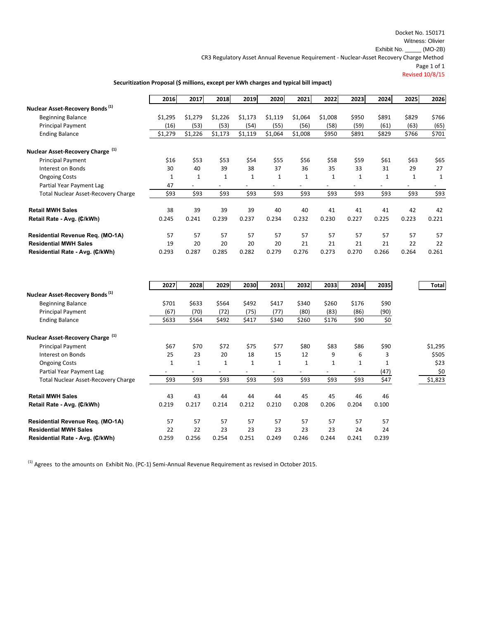Docket No. 150171 Witness: Olivier Exhibit No. \_\_\_\_\_ (MO-2B)

CR3 Regulatory Asset Annual Revenue Requirement ‐ Nuclear‐Asset Recovery Charge Method

Page 1 of 1

Revised 10/8/15

#### **Securitization Proposal (\$ millions, except per kWh charges and typical bill impact)**

|                                              | 2016    | 2017    | 2018         | 2019         | 2020         | 2021         | 2022    | 2023         | 2024         | 2025  | 2026  |
|----------------------------------------------|---------|---------|--------------|--------------|--------------|--------------|---------|--------------|--------------|-------|-------|
| Nuclear Asset-Recovery Bonds <sup>(1)</sup>  |         |         |              |              |              |              |         |              |              |       |       |
| <b>Beginning Balance</b>                     | \$1,295 | \$1,279 | \$1,226      | \$1,173      | \$1,119      | \$1,064      | \$1,008 | \$950        | \$891        | \$829 | \$766 |
| <b>Principal Payment</b>                     | (16)    | (53)    | (53)         | (54)         | (55)         | (56)         | (58)    | (59)         | (61)         | (63)  | (65)  |
| <b>Ending Balance</b>                        | \$1,279 | \$1,226 | \$1,173      | \$1,119      | \$1,064      | \$1,008      | \$950   | \$891        | \$829        | \$766 | \$701 |
| Nuclear Asset-Recovery Charge <sup>(1)</sup> |         |         |              |              |              |              |         |              |              |       |       |
| <b>Principal Payment</b>                     | \$16    | \$53    | \$53         | \$54         | \$55         | \$56         | \$58    | \$59         | \$61         | \$63  | \$65  |
| Interest on Bonds                            | 30      | 40      | 39           | 38           | 37           | 36           | 35      | 33           | 31           | 29    | 27    |
| <b>Ongoing Costs</b>                         |         |         | $\mathbf{1}$ | $\mathbf{1}$ | $\mathbf{1}$ | $\mathbf{1}$ | 1       | $\mathbf{1}$ | $\mathbf{1}$ |       |       |
| Partial Year Payment Lag                     | 47      |         | ٠            |              |              |              |         |              |              |       |       |
| <b>Total Nuclear Asset-Recovery Charge</b>   | \$93    | \$93    | \$93         | \$93         | \$93         | \$93         | \$93    | \$93         | \$93         | \$93  | \$93  |
| <b>Retail MWH Sales</b>                      | 38      | 39      | 39           | 39           | 40           | 40           | 41      | 41           | 41           | 42    | 42    |
| Retail Rate - Avg. (C/kWh)                   | 0.245   | 0.241   | 0.239        | 0.237        | 0.234        | 0.232        | 0.230   | 0.227        | 0.225        | 0.223 | 0.221 |
| Residential Revenue Req. (MO-1A)             | 57      | 57      | 57           | 57           | 57           | 57           | 57      | 57           | 57           | 57    | 57    |
| <b>Residential MWH Sales</b>                 | 19      | 20      | 20           | 20           | 20           | 21           | 21      | 21           | 21           | 22    | 22    |
| Residential Rate - Avg. (C/kWh)              | 0.293   | 0.287   | 0.285        | 0.282        | 0.279        | 0.276        | 0.273   | 0.270        | 0.266        | 0.264 | 0.261 |

|                                              | 2027         | 2028  | 2029         | 2030         | 2031  | 2032         | 2033  | 2034  | 2035  | <b>Total</b> |
|----------------------------------------------|--------------|-------|--------------|--------------|-------|--------------|-------|-------|-------|--------------|
| Nuclear Asset-Recovery Bonds <sup>(1)</sup>  |              |       |              |              |       |              |       |       |       |              |
| <b>Beginning Balance</b>                     | \$701        | \$633 | \$564        | \$492        | \$417 | \$340        | \$260 | \$176 | \$90  |              |
| <b>Principal Payment</b>                     | (67)         | (70)  | (72)         | (75)         | (77)  | (80)         | (83)  | (86)  | (90)  |              |
| <b>Ending Balance</b>                        | \$633        | \$564 | \$492        | \$417        | \$340 | \$260        | \$176 | \$90  | \$0   |              |
| Nuclear Asset-Recovery Charge <sup>(1)</sup> |              |       |              |              |       |              |       |       |       |              |
| Principal Payment                            | \$67         | \$70  | \$72         | \$75         | \$77  | \$80         | \$83  | \$86  | \$90  | \$1,295      |
| Interest on Bonds                            | 25           | 23    | 20           | 18           | 15    | 12           | 9     | 6     | 3     | \$505        |
| <b>Ongoing Costs</b>                         | $\mathbf{1}$ | 1     | $\mathbf{1}$ | $\mathbf{1}$ | 1     | $\mathbf{1}$ | 1     |       |       | \$23         |
| Partial Year Payment Lag                     |              |       |              |              |       |              |       |       | (47)  | \$0          |
| <b>Total Nuclear Asset-Recovery Charge</b>   | \$93         | \$93  | \$93         | \$93         | \$93  | \$93         | \$93  | \$93  | \$47  | \$1,823      |
| <b>Retail MWH Sales</b>                      | 43           | 43    | 44           | 44           | 44    | 45           | 45    | 46    | 46    |              |
| Retail Rate - Avg. (¢/kWh)                   | 0.219        | 0.217 | 0.214        | 0.212        | 0.210 | 0.208        | 0.206 | 0.204 | 0.100 |              |
| Residential Revenue Req. (MO-1A)             | 57           | 57    | 57           | 57           | 57    | 57           | 57    | 57    | 57    |              |
| <b>Residential MWH Sales</b>                 | 22           | 22    | 23           | 23           | 23    | 23           | 23    | 24    | 24    |              |
| Residential Rate - Avg. (C/kWh)              | 0.259        | 0.256 | 0.254        | 0.251        | 0.249 | 0.246        | 0.244 | 0.241 | 0.239 |              |

 $(1)$  Agrees to the amounts on Exhibit No. (PC-1) Semi-Annual Revenue Requirement as revised in October 2015.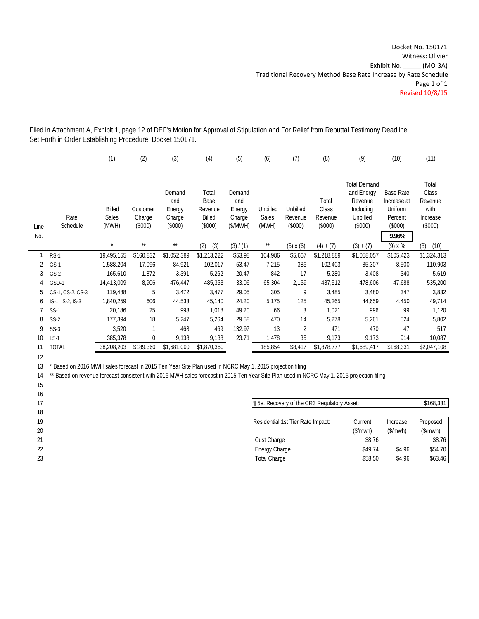Filed in Attachment A, Exhibit 1, page 12 of DEF's Motion for Approval of Stipulation and For Relief from Rebuttal Testimony Deadline Set Forth in Order Establishing Procedure; Docket 150171.

|                 |                  | (1)          | (2)          | (3)              | (4)             | (5)              | (6)          | (7)              | (8)            | (9)                  | (10)                   | (11)            |
|-----------------|------------------|--------------|--------------|------------------|-----------------|------------------|--------------|------------------|----------------|----------------------|------------------------|-----------------|
|                 |                  |              |              |                  |                 |                  |              |                  |                | <b>Total Demand</b>  |                        | Total           |
|                 |                  |              |              | Demand           | Total           | Demand           |              |                  |                | and Energy           | Base Rate              | Class           |
|                 |                  | Billed       | Customer     | and              | Base<br>Revenue | and              | Unbilled     | Unbilled         | Total<br>Class | Revenue<br>Including | Increase at<br>Uniform | Revenue<br>with |
|                 | Rate             | <b>Sales</b> | Charge       | Energy<br>Charge | Billed          | Energy<br>Charge | Sales        | Revenue          | Revenue        | Unbilled             | Percent                | Increase        |
| Line            | Schedule         | (MWH)        | (\$000)      | $(\$000)$        | $(\$000)$       | (S/MWH)          | (MWH)        | (\$000)          | $(\$000)$      | $(\$000)$            | $(\$000)$              | $(\$000)$       |
|                 |                  |              |              |                  |                 |                  |              |                  |                |                      |                        |                 |
| No.             |                  | $\star$      | $\star\star$ | $\star\star$     |                 |                  |              |                  |                |                      | 9.96%                  |                 |
|                 |                  |              |              |                  | $(2) + (3)$     | (3) / (1)        | $\star\star$ | $(5) \times (6)$ | $(4) + (7)$    | $(3) + (7)$          | (9) x %                | $(8) + (10)$    |
|                 | $RS-1$           | 19,495,155   | \$160,832    | \$1,052,389      | \$1,213,222     | \$53.98          | 104,986      | \$5,667          | \$1,218,889    | \$1,058,057          | \$105,423              | \$1,324,313     |
| 2               | $GS-1$           | 1,588,204    | 17,096       | 84,921           | 102,017         | 53.47            | 7,215        | 386              | 102,403        | 85,307               | 8,500                  | 110,903         |
| 3               | $GS-2$           | 165,610      | 1,872        | 3,391            | 5,262           | 20.47            | 842          | 17               | 5,280          | 3,408                | 340                    | 5,619           |
| 4               | GSD-1            | 14,413,009   | 8,906        | 476,447          | 485,353         | 33.06            | 65,304       | 2,159            | 487,512        | 478,606              | 47,688                 | 535,200         |
| 5               | CS-1, CS-2, CS-3 | 119,488      | 5            | 3,472            | 3,477           | 29.05            | 305          | 9                | 3,485          | 3,480                | 347                    | 3,832           |
| 6               | IS-1, IS-2, IS-3 | 1,840,259    | 606          | 44,533           | 45,140          | 24.20            | 5,175        | 125              | 45,265         | 44,659               | 4,450                  | 49,714          |
| 7               | $SS-1$           | 20,186       | 25           | 993              | 1,018           | 49.20            | 66           | 3                | 1,021          | 996                  | 99                     | 1,120           |
| 8               | $SS-2$           | 177,394      | 18           | 5,247            | 5,264           | 29.58            | 470          | 14               | 5,278          | 5,261                | 524                    | 5,802           |
| 9               | $SS-3$           | 3,520        | $\mathbf{1}$ | 468              | 469             | 132.97           | 13           | 2                | 471            | 470                  | 47                     | 517             |
| 10 <sup>°</sup> | $LS-1$           | 385,378      | $\mathbf{0}$ | 9,138            | 9,138           | 23.71            | 1,478        | 35               | 9,173          | 9,173                | 914                    | 10,087          |
| 11              | <b>TOTAL</b>     | 38,208,203   | \$189,360    | \$1,681,000      | \$1,870,360     |                  | 185,854      | \$8,417          | \$1,878,777    | \$1,689,417          | \$168,331              | \$2,047,108     |
| 12              |                  |              |              |                  |                 |                  |              |                  |                |                      |                        |                 |

13 \* Based on 2016 MWH sales forecast in 2015 Ten Year Site Plan used in NCRC May 1, 2015 projection filing

15

14 \*\* Based on revenue forecast consistent with 2016 MWH sales forecast in 2015 Ten Year Site Plan used in NCRC May 1, 2015 projection filing

|                                   |          |                                            | \$168,331 |
|-----------------------------------|----------|--------------------------------------------|-----------|
|                                   |          |                                            |           |
| Residential 1st Tier Rate Impact: | Current  | Increase                                   | Proposed  |
|                                   | (\$/mwh) | (\$/mwh)                                   | (\$/mwh)  |
| Cust Charge                       | \$8.76   |                                            | \$8.76    |
| Energy Charge                     | \$49.74  | \$4.96                                     | \$54.70   |
| <b>Total Charge</b>               | \$58.50  | \$4.96                                     | \$63.46   |
|                                   |          | 15e. Recovery of the CR3 Regulatory Asset: |           |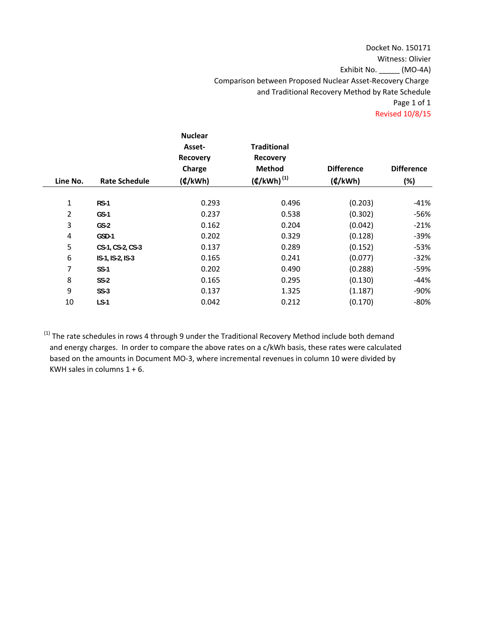## Docket No. 150171 Witness: Olivier Exhibit No. \_\_\_\_\_ (MO‐4A) Comparison between Proposed Nuclear Asset‐Recovery Charge and Traditional Recovery Method by Rate Schedule Page 1 of 1 Revised 10/8/15

| Line No.       | <b>Rate Schedule</b> | <b>Nuclear</b><br>Asset-<br><b>Recovery</b><br>Charge<br>(4/kWh) | <b>Traditional</b><br><b>Recovery</b><br>Method<br>$(\boldsymbol{\phi}/kWh)^{(1)}$ | <b>Difference</b><br>(4/kWh) | <b>Difference</b><br>(%) |
|----------------|----------------------|------------------------------------------------------------------|------------------------------------------------------------------------------------|------------------------------|--------------------------|
| 1              | $RS-1$               | 0.293                                                            | 0.496                                                                              | (0.203)                      | -41%                     |
| $\overline{2}$ | $GS-1$               | 0.237                                                            | 0.538                                                                              | (0.302)                      | $-56%$                   |
| 3              | $GS-2$               | 0.162                                                            | 0.204                                                                              | (0.042)                      | $-21%$                   |
| 4              | GSD-1                | 0.202                                                            | 0.329                                                                              | (0.128)                      | $-39%$                   |
| 5              | CS-1, CS-2, CS-3     | 0.137                                                            | 0.289                                                                              | (0.152)                      | $-53%$                   |
| 6              | IS-1, IS-2, IS-3     | 0.165                                                            | 0.241                                                                              | (0.077)                      | $-32%$                   |
| 7              | $SS-1$               | 0.202                                                            | 0.490                                                                              | (0.288)                      | -59%                     |
| 8              | $SS-2$               | 0.165                                                            | 0.295                                                                              | (0.130)                      | -44%                     |
| 9              | $SS-3$               | 0.137                                                            | 1.325                                                                              | (1.187)                      | -90%                     |
| 10             | $LS-1$               | 0.042                                                            | 0.212                                                                              | (0.170)                      | $-80%$                   |
|                |                      |                                                                  |                                                                                    |                              |                          |

<sup>(1)</sup> The rate schedules in rows 4 through 9 under the Traditional Recovery Method include both demand and energy charges. In order to compare the above rates on a c/kWh basis, these rates were calculated based on the amounts in Document MO‐3, where incremental revenues in column 10 were divided by KWH sales in columns 1 + 6.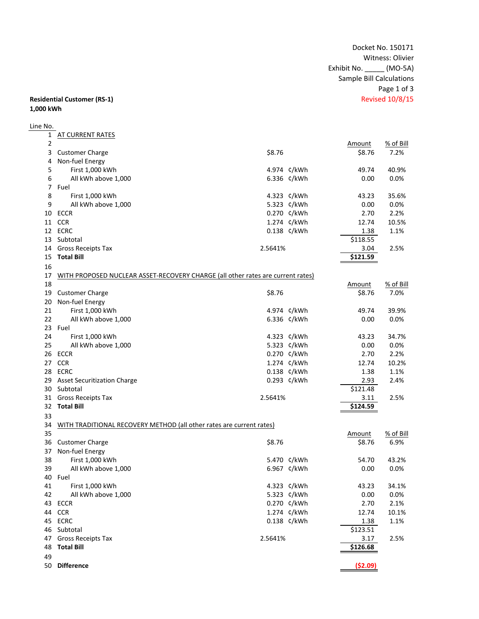Docket No. 150171 Witness: Olivier Exhibit No. \_\_\_\_\_ (MO‐5A) Sample Bill Calculations Page 1 of 3<br>Revised 10/8/15

#### **Residential Customer (RS-1) 1,000 kWh**

# Line No.

| 1              | <b>AT CURRENT RATES</b>                                                         |         |             |          |           |
|----------------|---------------------------------------------------------------------------------|---------|-------------|----------|-----------|
| $\overline{2}$ |                                                                                 |         |             | Amount   | % of Bill |
| 3              | <b>Customer Charge</b>                                                          | \$8.76  |             | \$8.76   | 7.2%      |
| 4              | Non-fuel Energy                                                                 |         |             |          |           |
| 5              | First 1,000 kWh                                                                 |         | 4.974 ¢/kWh | 49.74    | 40.9%     |
| 6              | All kWh above 1,000                                                             |         | 6.336 ¢/kWh | 0.00     | 0.0%      |
| 7              | Fuel                                                                            |         |             |          |           |
| 8              | First 1,000 kWh                                                                 |         | 4.323 ¢/kWh | 43.23    | 35.6%     |
| 9              | All kWh above 1,000                                                             |         | 5.323 ¢/kWh | 0.00     | 0.0%      |
|                | 10 ECCR                                                                         |         | 0.270 ¢/kWh | 2.70     | 2.2%      |
|                | 11 CCR                                                                          |         | 1.274 ¢/kWh | 12.74    | 10.5%     |
|                | 12 ECRC                                                                         |         | 0.138 ¢/kWh | 1.38     | 1.1%      |
|                | 13 Subtotal                                                                     |         |             | \$118.55 |           |
|                | 14 Gross Receipts Tax                                                           | 2.5641% |             | 3.04     | 2.5%      |
| 15             | <b>Total Bill</b>                                                               |         |             | 5121.59  |           |
|                |                                                                                 |         |             |          |           |
| 16             |                                                                                 |         |             |          |           |
| 17             | WITH PROPOSED NUCLEAR ASSET-RECOVERY CHARGE (all other rates are current rates) |         |             |          |           |
| 18             |                                                                                 |         |             | Amount   | % of Bill |
| 19             | <b>Customer Charge</b>                                                          | \$8.76  |             | \$8.76   | 7.0%      |
| 20             | Non-fuel Energy                                                                 |         |             |          |           |
| 21             | First 1,000 kWh                                                                 |         | 4.974 ¢/kWh | 49.74    | 39.9%     |
| 22             | All kWh above 1,000                                                             |         | 6.336 ¢/kWh | 0.00     | 0.0%      |
|                | 23 Fuel                                                                         |         |             |          |           |
| 24             | First 1,000 kWh                                                                 |         | 4.323 ¢/kWh | 43.23    | 34.7%     |
| 25             | All kWh above 1,000                                                             |         | 5.323 ¢/kWh | 0.00     | 0.0%      |
|                | 26 ECCR                                                                         |         | 0.270 ¢/kWh | 2.70     | 2.2%      |
|                | 27 CCR                                                                          |         | 1.274 ¢/kWh | 12.74    | 10.2%     |
|                | 28 ECRC                                                                         |         | 0.138 ¢/kWh | 1.38     | 1.1%      |
| 29             | <b>Asset Securitization Charge</b>                                              |         | 0.293 ¢/kWh | 2.93     | 2.4%      |
|                | 30 Subtotal                                                                     |         |             | \$121.48 |           |
|                | 31 Gross Receipts Tax                                                           | 2.5641% |             | 3.11     | 2.5%      |
|                | 32 Total Bill                                                                   |         |             | \$124.59 |           |
| 33             |                                                                                 |         |             |          |           |
| 34             | WITH TRADITIONAL RECOVERY METHOD (all other rates are current rates)            |         |             |          |           |
| 35             |                                                                                 |         |             | Amount   | % of Bill |
| 36             | <b>Customer Charge</b>                                                          | \$8.76  |             | \$8.76   | 6.9%      |
| 37             | Non-fuel Energy                                                                 |         |             |          |           |
| 38             | First 1,000 kWh                                                                 |         | 5.470 ¢/kWh | 54.70    | 43.2%     |
| 39             | All kWh above 1,000                                                             |         | 6.967 ¢/kWh | 0.00     | 0.0%      |
| 40             | Fuel                                                                            |         |             |          |           |
| 41             | First 1,000 kWh                                                                 |         | 4.323 ¢/kWh | 43.23    | 34.1%     |
| 42             | All kWh above 1,000                                                             |         | 5.323 ¢/kWh | 0.00     | 0.0%      |
|                | 43 ECCR                                                                         |         | 0.270 ¢/kWh | 2.70     | 2.1%      |
| 44             | <b>CCR</b>                                                                      |         | 1.274 ¢/kWh | 12.74    | 10.1%     |
|                | 45 ECRC                                                                         |         | 0.138 ¢/kWh | 1.38     | 1.1%      |
| 46             | Subtotal                                                                        |         |             | \$123.51 |           |
| 47             | Gross Receipts Tax                                                              | 2.5641% |             | 3.17     | 2.5%      |
| 48             | <b>Total Bill</b>                                                               |         |             | \$126.68 |           |
|                |                                                                                 |         |             |          |           |
| 49             |                                                                                 |         |             |          |           |
|                | 50 Difference                                                                   |         |             | (\$2.09) |           |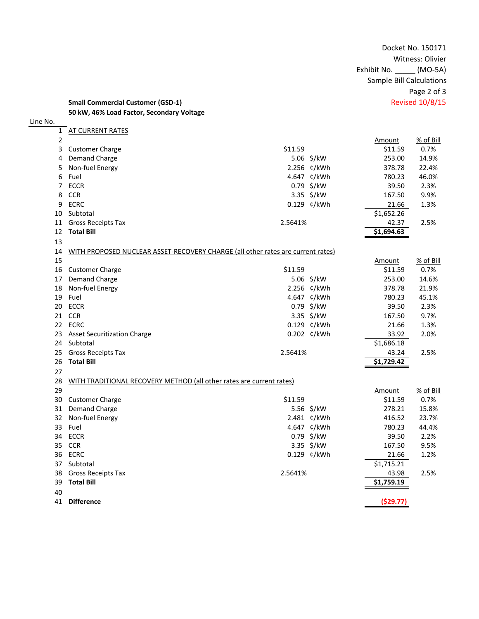Docket No. 150171 Witness: Olivier Exhibit No. \_\_\_\_\_ (MO‐5A) Sample Bill Calculations Page 2 of 3

**Small Commercial Customer (GSD‐1)** Revised 10/8/15 **kW, 46% Load Factor, Secondary Voltage**

| Line No.    |                                                                                 |         |             |            |           |
|-------------|---------------------------------------------------------------------------------|---------|-------------|------------|-----------|
|             | 1 AT CURRENT RATES                                                              |         |             |            |           |
| $\mathbf 2$ |                                                                                 |         |             | Amount     | % of Bill |
| 3           | <b>Customer Charge</b>                                                          | \$11.59 |             | \$11.59    | 0.7%      |
| 4           | <b>Demand Charge</b>                                                            |         | 5.06 \$/kW  | 253.00     | 14.9%     |
| 5           | Non-fuel Energy                                                                 |         | 2.256 ¢/kWh | 378.78     | 22.4%     |
| 6           | Fuel                                                                            |         | 4.647 ¢/kWh | 780.23     | 46.0%     |
|             | 7 ECCR                                                                          |         | 0.79 \$/kW  | 39.50      | 2.3%      |
| 8           | <b>CCR</b>                                                                      |         | 3.35 \$/kW  | 167.50     | 9.9%      |
| 9           | <b>ECRC</b>                                                                     |         | 0.129 ¢/kWh | 21.66      | 1.3%      |
| 10          | Subtotal                                                                        |         |             | \$1,652.26 |           |
| 11          | Gross Receipts Tax                                                              | 2.5641% |             | 42.37      | 2.5%      |
|             | 12 Total Bill                                                                   |         |             | \$1,694.63 |           |
| 13          |                                                                                 |         |             |            |           |
| 14          | WITH PROPOSED NUCLEAR ASSET-RECOVERY CHARGE (all other rates are current rates) |         |             |            |           |
| 15          |                                                                                 |         |             | Amount     | % of Bill |
|             | 16 Customer Charge                                                              | \$11.59 |             | \$11.59    | 0.7%      |
|             | 17 Demand Charge                                                                |         | 5.06 \$/kW  | 253.00     | 14.6%     |
|             | 18 Non-fuel Energy                                                              |         | 2.256 ¢/kWh | 378.78     | 21.9%     |
|             | 19 Fuel                                                                         |         | 4.647 ¢/kWh | 780.23     | 45.1%     |
| 20          | <b>ECCR</b>                                                                     |         | 0.79 \$/kW  | 39.50      | 2.3%      |
|             | 21 CCR                                                                          |         | 3.35 \$/kW  | 167.50     | 9.7%      |
|             | 22 ECRC                                                                         |         | 0.129 ¢/kWh | 21.66      | 1.3%      |
|             | 23 Asset Securitization Charge                                                  |         | 0.202 ¢/kWh | 33.92      | 2.0%      |
|             | 24 Subtotal                                                                     |         |             | \$1,686.18 |           |
| 25          | <b>Gross Receipts Tax</b>                                                       | 2.5641% |             | 43.24      | 2.5%      |
| 26          | <b>Total Bill</b>                                                               |         |             | \$1,729.42 |           |
| 27          |                                                                                 |         |             |            |           |
| 28          | WITH TRADITIONAL RECOVERY METHOD (all other rates are current rates)            |         |             |            |           |
| 29          |                                                                                 |         |             | Amount     | % of Bill |
| 30          | <b>Customer Charge</b>                                                          | \$11.59 |             | \$11.59    | 0.7%      |
| 31          | <b>Demand Charge</b>                                                            |         | 5.56 \$/kW  | 278.21     | 15.8%     |
|             | 32 Non-fuel Energy                                                              |         | 2.481 ¢/kWh | 416.52     | 23.7%     |
|             | 33 Fuel                                                                         |         | 4.647 ¢/kWh | 780.23     | 44.4%     |
|             | 34 ECCR                                                                         |         | 0.79 \$/kW  | 39.50      | 2.2%      |
|             | 35 CCR                                                                          |         | 3.35 \$/kW  | 167.50     | 9.5%      |
|             | 36 ECRC                                                                         |         | 0.129 ¢/kWh | 21.66      | 1.2%      |
|             | 37 Subtotal                                                                     |         |             | \$1,715.21 |           |
| 38          | <b>Gross Receipts Tax</b>                                                       | 2.5641% |             | 43.98      | 2.5%      |
| 39          | <b>Total Bill</b>                                                               |         |             | \$1,759.19 |           |
| 40          |                                                                                 |         |             |            |           |
| 41          | <b>Difference</b>                                                               |         |             | (\$29.77)  |           |
|             |                                                                                 |         |             |            |           |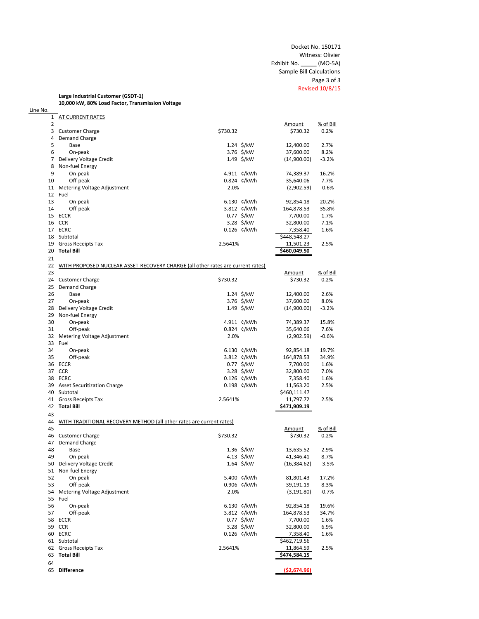### **Large Industrial Customer (GSDT‐1)**

Line No.

**10,000 kW, 80% Load Factor, Transmission Voltage** 1 AT CURRENT RATES 2 Amount % of Bill 3 Customer Charge \$730.32 \$730.32 0.2% 4 Demand Charge<br>5 Base 5 Base 1.24 \$/kW 1.24 \$/kW 12,400.00 2.7% 6 On‐peak 3.76 \$/kW 37,600.00 8.2% 7 Delivery Voltage Credit 1.49 \$/kW (14,900.00) ‐3.2% 8 Non‐fuel Energy 9 On-peak 1.99 On-peak 1.99 On-peak 1.99 On-peak 1.99 On-peak 1.99 On-peak 1.99 On-peak 1.99 On-peak 1.99 On-peak 1.99 On-peak 1.99 On-peak 1.99 On-peak 1.99 On-peak 1.99 On-peak 1.99 On-peak 1.99 On-peak 1.99 On-peak 1.9 0.824 ¢/kWh 35,640.06 7.7% 11 Metering Voltage Adjustment 2.0% (2,902.59) ‐0.6% 12 Fuel 13 On−peak 14 Off-peak 14 Off-peak 14 Off-peak 14 Off-peak 14 Off-peak 14 Off-peak 15.8% 14 Off-peak 15 ECCR<br>15 ECCR 15 ECCR<br>15 ECCR 15 ECCR 27 €/kW 7,700.00 1.7% 15 ECCR 0.77 \$/kW 7,700.00 1.7% 16 CCR CCR SALL SALL SALL SALL SALL SALL SALL SALL SALL SALL SALL SALL SALL SA 17 ECRC 2000 1.126 \$1,2000 1.126 \$1,2000 1.6% 0.126 \$1,2000 1.6% 0.126 \$1,400 1.6% 1.6% 1.6% 1.6% 1.6% 1.6% 1.6% 18 Subtotal Subtotal Subtotal State State State State State State State State State State State State State State State State State State State State State State State 19 Gross Receipts Tax 2.5641% 11,501.23 2.5% 20 **Total Bill \$460,049.50** 21 22 WITH PROPOSED NUCLEAR ASSET-RECOVERY CHARGE (all other rates are current rates) 23 Amount % of Bill 24 Customer Charge \$730.32 \$730.32 0.2% 25 Demand Charge 26 Base 1.24 \$/kW 12,400.00 2.6% 27 
27 
27 
27 
28 Delivery Voltage Credit (200 in the set of the set of the set of the set of the set of the set of the set of the set of the set of the set of the set of the set of the set of the set of the set of the s 28 Delivery Voltage Credit 1.49 \$/kW (14,900.00) ‐3.2% 29 Non-fuel Energy<br>30 On-peak 0.993.37 15.8% Con-peak 1.911 ¢/kWh 74,389.37 15.8% (3.824 ¢/kWh 74,389.37 15.8% Off-peak 1.911 ¢/kWh 74,389.37 15.8% 31 Off‐peak 0.824 ¢/kWh 35,640.06 7.6% 32 Metering Voltage Adjustment 2.0% (2,902.59) ‐0.6% 33 Fuel 34 On-peak 19.7% → 5.130 ¢/kWh 92,854.18 19.7% → 5.130 €/kWh 92,854.18 19.7% → 5.130 €/kWh 92,854.18 19.7% → 5.130 €/kWh 92,854.18 19.7% → 5.130 €/kWh 9.64,878.53 54.9% → 5.130 €/kWh 9.64,878.53 54.9% → 5.130 €/kWh 9.64,8 35 Off‐peak 3.812 ¢/kWh 164,878.53 34.9% 36 ECCR ECCR ECCR ECCR ECCR ECCR ECCR ECCR ECCR ECCR ECCR ECCR ECCR ECCR ECCR <br>37 CCR ECCR ECCR ECCR ECCR ECCR ECCR ECCR ECCR ECCR ECCR ECCR ECCR ECCR ECCR E 37 CCR CCR SALL SALL SALL SALL SALL SALL SALL SALL SALL SALL SALL SALL SALL SA 38 ECRC 0.126 ¢/kWh 7,358.40 1.6% 39 Asset Securitization Charge 0.198 ¢/kWh 11,563.20 2.5% 40 Subtotal 41 Gross Receipts Tax 2.5641% 11,797.72 2.5% 42 **Total Bill \$471,909.19** 43 44 WITH TRADITIONAL RECOVERY METHOD (all other rates are current rates) 45 Amount % of Bill 46 Customer Charge \$730.32 \$730.32 0.2% 47 Demand Charge 48 Base 1.36 \$/kW 13,635.52 2.9% 49 On‐peak 4.13 \$/kW 41,346.41 8.7% 50 Delivery Voltage Credit 1.64 \$/kW (16,384.62) ‐3.5% 51 Non-fuel Energy 52 On‐peak 5.400 ¢/kWh 81,801.43 17.2% 53 Off‐peak 0.906 ¢/kWh 39,191.19 8.3% 54 Metering Voltage Adjustment 55 Fuel 56 On‐peak 6.130 ¢/kWh 92,854.18 19.6% 57 Off-peak 58 ECCR 57 Off-peak 58 ECCR 58 ECCR 58 ECCR 58 ECCR 58 ECCR 58 ECCR 58 ECCR 58 ECCR 58 ECCR 57700.00 1.6% 58 ECCR ECCR ECCR ECCR ECCR ECCR ECCR ECCR ECCR ECCR ECCR ECCR ECCR ECCR ECCR E 59 CCR CCR SALL SALL SALL SALL SALL SALL SALL SALL SALL SALL SALL SALL SALL SA 60 ECRC 0.126 ¢/kWh 7,358.40 1.6% 61 Subtotal \$462,719.56 62 Gross Receipts Tax 2.5641% 11,864.59 2.5% 63 **Total Bill \$474,584.15** 64

65 **Difference (\$2,674.96)**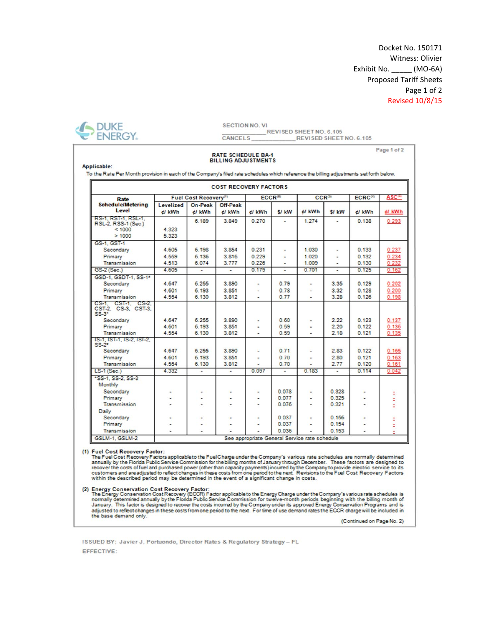Docket No. 150171 Witness: Olivier Exhibit No. \_\_\_\_\_\_ (MO-6A) **Proposed Tariff Sheets** Page 1 of 2 **Revised 10/8/15** 

Page 1 of 2

╗



**SECTION NO. VI** REVISED SHEET NO. 6.105 CANCELS REVISED SHEET NO. 6.105

#### **RATE SCHEDULE BA-1 BILLING ADJUSTMENTS**

Applicable:

To the Rate Per Month provision in each of the Company's filed rate schedules which reference the billing adjustments set forth below. F

| <b>Schedule/Metering</b><br>On-Peak<br>Off-Peak<br>Levelized<br>Level<br>el kWh<br>S/ kW<br>el kWh<br>el kWh<br>el kWh<br>el kWh<br><b>S/ kW</b><br>el kWh<br>RS-1, RST-1, RSL-1,<br>6.189<br>3849<br>0.270<br>1.274<br>0.138<br>$\overline{\phantom{a}}$<br>RSL-2, RSS-1 (Sec.)<br>4.323<br>< 1000<br>>1000<br>5.323<br>GS-1, GST-1<br>4.605<br>6.198<br>3.854<br>0.231<br>1.030<br>Secondary<br>0.133<br>4 559<br>6.136<br>3.816<br>0.229<br>1.020<br>0.132<br>Primary<br>4 5 1 3<br>6.074<br>3.777<br>0.226<br>1.009<br>0.130<br>Transmission<br>$\frac{1}{2}$<br>0.179<br>0.701<br>4.605<br>0.125<br>GS-2 (Sec.)<br>$\overline{a}$<br>$\overline{a}$<br>÷<br>÷<br>GSD-1, GSDT-1, SS-1*<br>4.647<br>6.255<br>3.890<br>0.79<br>3.35<br>0.129<br>Secondary<br>6.193<br>3.851<br>4.601<br>0.78<br>3.32<br>0.128<br>Primary<br>4 5 5 4<br>Transmission<br>6.130<br>3.812<br>0.77<br>3.28<br>0.126<br>CS-1. CST-1. CS-2.<br>CST-2, CS-3, CST-3,<br>$SS-3$<br>4 647<br>6.255<br>3.890<br>0.123<br>Secondary<br>0.60<br>2.22<br>4.601<br>6.193<br>3.851<br>0.59<br>2.20<br>0.122<br>Primary<br>Transmission<br>4.554<br>3.812<br>0.59<br>2.18<br>0.121<br>6.130<br>15-1, IST-1, IS-2, IST-2,<br>$SS-2*$<br>4.647<br>6.255<br>3.890<br>0.71<br>Secondary<br>2.83<br>0.122<br>$\overline{a}$<br>$\overline{\phantom{0}}$<br>4.601<br>6.193<br>3.851<br>0.70<br>2.80<br>0.121<br>Primary<br>٠<br>Transmission<br>4 5 5 4<br>3.812<br>0.70<br>2.77<br>0.120<br>6.130<br>4.332<br>0.097<br>0.183<br>$LS-1(Sec.)$<br>0.114<br>$\overline{\phantom{a}}$<br>٠<br>$\overline{\phantom{a}}$<br>٠<br>*SS-1, SS-2, SS-3<br>Monthly<br>0.078<br>0.328<br>Secondary<br>$\overline{\phantom{0}}$<br>$\blacksquare$<br>$\tilde{\phantom{a}}$<br>$\overline{\phantom{0}}$<br>0.325<br>Primary<br>0.077<br>Transmission<br>0.076<br>0.321<br>Daily | Rate | Fuel Cost Recovery <sup>(1)</sup> | ECCR <sup>(2)</sup> | $CCR^{(3)}$ | ECRC <sup>(4)</sup> | <b>ASC<sup>(2)</sup></b> |
|------------------------------------------------------------------------------------------------------------------------------------------------------------------------------------------------------------------------------------------------------------------------------------------------------------------------------------------------------------------------------------------------------------------------------------------------------------------------------------------------------------------------------------------------------------------------------------------------------------------------------------------------------------------------------------------------------------------------------------------------------------------------------------------------------------------------------------------------------------------------------------------------------------------------------------------------------------------------------------------------------------------------------------------------------------------------------------------------------------------------------------------------------------------------------------------------------------------------------------------------------------------------------------------------------------------------------------------------------------------------------------------------------------------------------------------------------------------------------------------------------------------------------------------------------------------------------------------------------------------------------------------------------------------------------------------------------------------------------------------------------------------------------------------------------------------------------|------|-----------------------------------|---------------------|-------------|---------------------|--------------------------|
|                                                                                                                                                                                                                                                                                                                                                                                                                                                                                                                                                                                                                                                                                                                                                                                                                                                                                                                                                                                                                                                                                                                                                                                                                                                                                                                                                                                                                                                                                                                                                                                                                                                                                                                                                                                                                              |      |                                   |                     |             |                     | el kWh                   |
|                                                                                                                                                                                                                                                                                                                                                                                                                                                                                                                                                                                                                                                                                                                                                                                                                                                                                                                                                                                                                                                                                                                                                                                                                                                                                                                                                                                                                                                                                                                                                                                                                                                                                                                                                                                                                              |      |                                   |                     |             |                     | 0.293                    |
|                                                                                                                                                                                                                                                                                                                                                                                                                                                                                                                                                                                                                                                                                                                                                                                                                                                                                                                                                                                                                                                                                                                                                                                                                                                                                                                                                                                                                                                                                                                                                                                                                                                                                                                                                                                                                              |      |                                   |                     |             |                     | 0.237<br>0.234<br>0.232  |
|                                                                                                                                                                                                                                                                                                                                                                                                                                                                                                                                                                                                                                                                                                                                                                                                                                                                                                                                                                                                                                                                                                                                                                                                                                                                                                                                                                                                                                                                                                                                                                                                                                                                                                                                                                                                                              |      |                                   |                     |             |                     | 0.162                    |
|                                                                                                                                                                                                                                                                                                                                                                                                                                                                                                                                                                                                                                                                                                                                                                                                                                                                                                                                                                                                                                                                                                                                                                                                                                                                                                                                                                                                                                                                                                                                                                                                                                                                                                                                                                                                                              |      |                                   |                     |             |                     | 0.202<br>0.200<br>0.198  |
|                                                                                                                                                                                                                                                                                                                                                                                                                                                                                                                                                                                                                                                                                                                                                                                                                                                                                                                                                                                                                                                                                                                                                                                                                                                                                                                                                                                                                                                                                                                                                                                                                                                                                                                                                                                                                              |      |                                   |                     |             |                     | 0.137<br>0.136<br>0.135  |
|                                                                                                                                                                                                                                                                                                                                                                                                                                                                                                                                                                                                                                                                                                                                                                                                                                                                                                                                                                                                                                                                                                                                                                                                                                                                                                                                                                                                                                                                                                                                                                                                                                                                                                                                                                                                                              |      |                                   |                     |             |                     | 0.165<br>0.163<br>0.161  |
|                                                                                                                                                                                                                                                                                                                                                                                                                                                                                                                                                                                                                                                                                                                                                                                                                                                                                                                                                                                                                                                                                                                                                                                                                                                                                                                                                                                                                                                                                                                                                                                                                                                                                                                                                                                                                              |      |                                   |                     |             |                     | 0.042                    |
|                                                                                                                                                                                                                                                                                                                                                                                                                                                                                                                                                                                                                                                                                                                                                                                                                                                                                                                                                                                                                                                                                                                                                                                                                                                                                                                                                                                                                                                                                                                                                                                                                                                                                                                                                                                                                              |      |                                   |                     |             |                     | ś                        |
| 0.037<br>Secondary<br>0.156<br>$\blacksquare$<br>٠<br>$\overline{a}$<br>0.037<br>0.154<br>Primary<br>0.036<br>0.153<br>Transmission                                                                                                                                                                                                                                                                                                                                                                                                                                                                                                                                                                                                                                                                                                                                                                                                                                                                                                                                                                                                                                                                                                                                                                                                                                                                                                                                                                                                                                                                                                                                                                                                                                                                                          |      |                                   |                     |             |                     |                          |

(1) Fuel Cost Recovery Factor:

Fig. Cost Recovery Pactor:<br>The Fuel Cost Recovery Factors applicable to the Fuel Charge under the Company's various rate schedules are normally determined<br>The Fuel Cost Recovery Factors applicable to the Fuel Charge under

(2) Energy Conservation Cost Recovery Factor:<br>The Energy Charge under the Company's various rate schedules is<br>normally determined annually by the Florida Public Service Commission for twelve-month periods beginning with th the base demand only

(Continued on Page No. 2)

ISSUED BY: Javier J. Portuondo, Director Rates & Regulatory Strategy - FL EFFECTIVE: